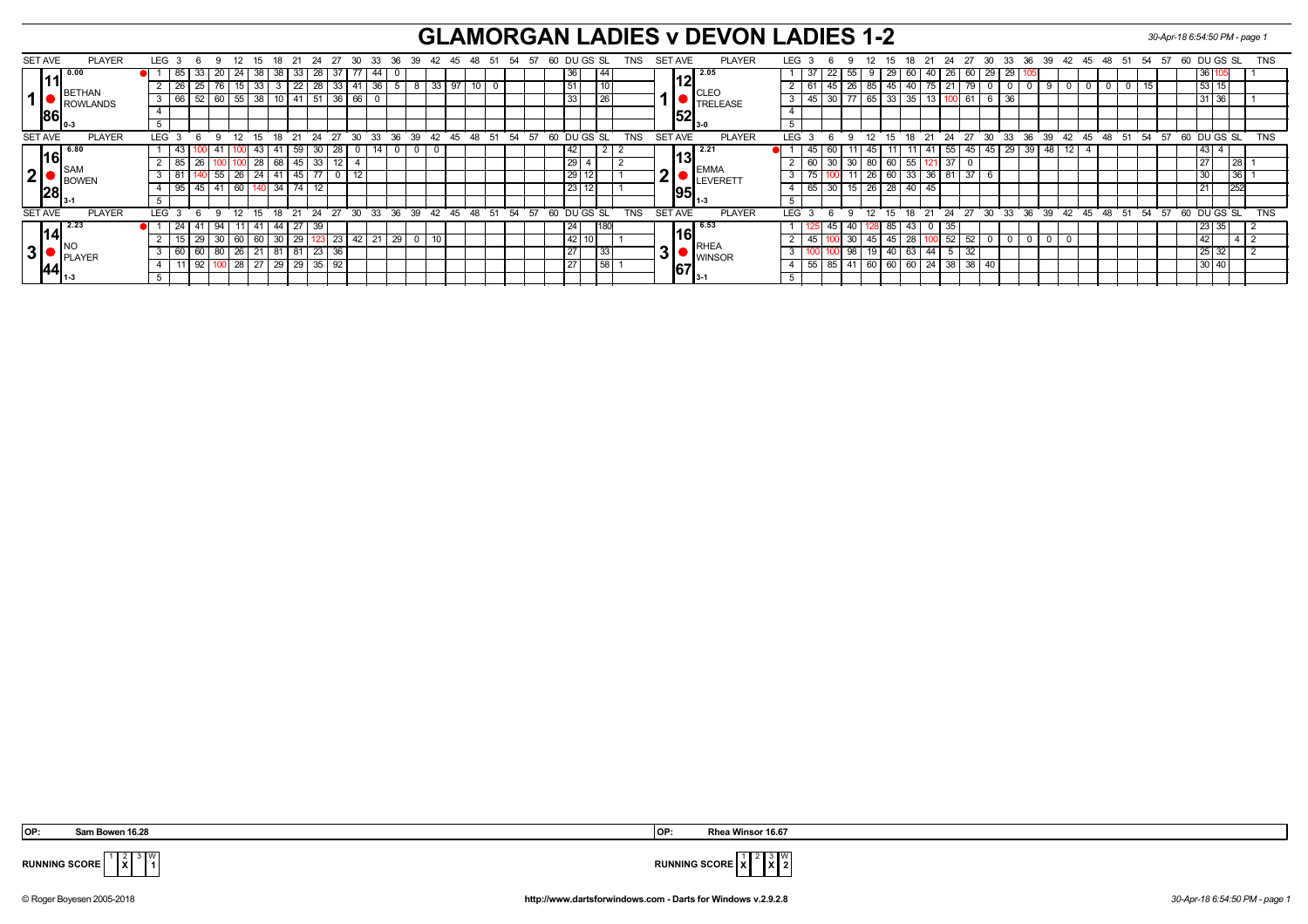## **GLAMORGAN LADIES v DEVON LADIES 1-2** *30-Apr-18 6:54:50 PM - page 1*

| <b>SET AVE</b><br><b>PLAYER</b>                          | LEG |                 | - 6 | -9       | -12             | -15     | 18           | 21               | - 24                                        | -27         | 30           | - 33 |                | 36 39 | - 42 | 45 48 | - 51 | -54 | - 57  | 60 |                 | DU GS SL |     | TNS        |                | SET AVE              | <b>PLAYER</b>                  | <b>LEG</b>       |     |          |                      | 12             |              | -18<br>15 | 21  | - 24              | 27        |    |                 |    |    | 30 33 36 39 42 45 |  | 48 51 54 57 60 DUGS SL                                       |       |             |        | <b>TNS</b> |
|----------------------------------------------------------|-----|-----------------|-----|----------|-----------------|---------|--------------|------------------|---------------------------------------------|-------------|--------------|------|----------------|-------|------|-------|------|-----|-------|----|-----------------|----------|-----|------------|----------------|----------------------|--------------------------------|------------------|-----|----------|----------------------|----------------|--------------|-----------|-----|-------------------|-----------|----|-----------------|----|----|-------------------|--|--------------------------------------------------------------|-------|-------------|--------|------------|
| 0.00                                                     |     | 85              | 33  |          | 24              | 38 I    | 38           | 33               |                                             |             |              | -44  |                |       |      |       |      |     |       |    | 36              |          | 44  |            |                |                      | 12.05                          |                  | -37 |          |                      | 55             | 29<br>9      | 60        | 40  | 26                | 60        | 29 | 29 <sub>1</sub> |    |    |                   |  |                                                              |       | $ 36 $ 1    |        |            |
| BETHAN                                                   |     | 26              |     |          |                 | 38      |              | 22               |                                             |             | $33 \mid 41$ | 36   |                |       | 33   |       |      |     |       |    |                 |          | טון |            |                |                      |                                |                  |     |          |                      | 26<br>85       |              | 40<br>45  |     |                   | 79        |    |                 |    |    |                   |  |                                                              |       | 53   15     |        |            |
| ROWLANDS                                                 |     | $\sqrt{66}$     |     |          | $\overline{55}$ |         |              | 10 $\sqrt{41}$   |                                             | 36'         | 66           |      |                |       |      |       |      |     |       |    | 33              |          | 26  |            |                |                      | <b>CLEO</b><br><b>TRELEASE</b> |                  |     | 45 I     | 30                   |                | 65  <br>33   | 35        |     |                   |           |    |                 |    |    |                   |  |                                                              |       | 31 36       |        |            |
| 86                                                       |     |                 |     |          |                 |         |              |                  |                                             |             |              |      |                |       |      |       |      |     |       |    |                 |          |     |            |                | 1521                 |                                |                  |     |          |                      |                |              |           |     |                   |           |    |                 |    |    |                   |  |                                                              |       |             |        |            |
|                                                          |     |                 |     |          |                 |         |              |                  |                                             |             |              |      |                |       |      |       |      |     |       |    |                 |          |     |            |                | <b>13-0</b>          |                                |                  |     |          |                      |                |              |           |     |                   |           |    |                 |    |    |                   |  |                                                              |       |             |        |            |
| <b>PLAYER</b><br><b>SET AVE</b>                          |     | $LEG$ 3         | 69  |          |                 |         |              |                  | $12$ 15 18 21 24 27 30 33 36 39 42 45 48 51 |             |              |      |                |       |      |       |      |     | 54 57 |    | 60 DUGS SL      |          |     | <b>TNS</b> |                | SET AVE              | <b>PLAYER</b>                  | LEG <sup>®</sup> |     | <b>6</b> | $\alpha$             |                |              |           |     |                   |           |    |                 |    |    |                   |  | $12$ 15 18 21 24 27 30 33 36 39 42 45 48 51 54 57 60 DUGS SL |       |             |        | <b>TNS</b> |
| 6.80<br>16                                               |     | 43              |     |          |                 | 43      |              | $\vert$ 59       |                                             | 30 28       |              |      |                |       |      |       |      |     |       |    | 42              |          |     |            |                |                      | <b>12.21</b>                   |                  |     | 45       | 60                   |                | 45 l         | 11        | 41  | 55                | 45        | 45 | 29 <sub>1</sub> | 39 | 48 | 12 I              |  |                                                              |       | 43   4      |        |            |
|                                                          |     | 85              |     |          |                 |         | 28   68   45 |                  |                                             | 33   12   4 |              |      |                |       |      |       |      |     |       |    |                 | 29       |     |            |                | 13                   |                                |                  |     | 60       |                      | 30 30 80 60 55 |              |           |     | $.1\overline{37}$ |           |    |                 |    |    |                   |  |                                                              |       | 27          | l 28 l |            |
| $\overline{\phantom{a}}$ ISAM<br>2 <sup>1</sup><br>BOWEN |     | $\sqrt{81}$     |     | 55       | 26 24 41 45     |         |              |                  | 77                                          |             | 12           |      |                |       |      |       |      |     |       |    | 29              |          |     |            | <u>n</u>       |                      | <b>EMMA</b><br>LEVERETT        |                  |     |          |                      | $-11$          | 26   60      | 33        | 36  |                   | 37        | -6 |                 |    |    |                   |  |                                                              |       |             | 36     |            |
| 28                                                       |     | 95              |     |          | 60 <sub>1</sub> |         |              | $34$ 74          | 12                                          |             |              |      |                |       |      |       |      |     |       |    |                 | 23 12    |     |            |                | 195                  |                                |                  |     | 65       | 30 <sup>1</sup>      | 15             | $26 \mid 28$ | 40        | 45  |                   |           |    |                 |    |    |                   |  |                                                              |       | 21          |        |            |
|                                                          |     |                 |     |          |                 |         |              |                  |                                             |             |              |      |                |       |      |       |      |     |       |    |                 |          |     |            |                |                      | - 11-3                         |                  |     |          |                      |                |              |           |     |                   |           |    |                 |    |    |                   |  |                                                              |       |             |        |            |
| <b>SET AVE</b><br><b>PLAYER</b>                          | LEG |                 | -6  | $\alpha$ | 12 <sup>°</sup> | $15-15$ | 18 21        |                  | 24                                          | 27 30       |              |      | $33 \t36 \t39$ |       | 42   | 45 48 | 51   |     | 54 57 |    | 60 DU GS SL     |          |     | <b>TNS</b> | <b>SET AVE</b> |                      | <b>PLAYER</b>                  | <b>LEG</b>       |     |          | $\alpha$             | 12             | 15           | - 18      |     | 21 24             | 27        |    |                 |    |    |                   |  | 30 33 36 39 42 45 48 51 54 57                                |       | 60 DU GS SL |        | <b>TNS</b> |
| 2.23                                                     |     | 24              |     |          |                 |         |              |                  |                                             |             |              |      |                |       |      |       |      |     |       |    | 24              |          | 180 |            |                |                      | $\lceil 6.53 \rceil$           |                  |     |          |                      |                |              | 85        |     | 35.               |           |    |                 |    |    |                   |  |                                                              |       | 23 35       |        |            |
| 14                                                       |     |                 |     |          | 60              | - 60 I  | 30           | 29               |                                             | 23          | 42           |      |                |       |      |       |      |     |       |    | 42              |          |     |            |                | 16                   |                                |                  |     |          |                      |                | 45           | 28<br>45  |     |                   | 52        |    |                 |    |    |                   |  |                                                              |       | 42          |        |            |
| . Ino<br>3 <sup>1</sup><br>PLAYER                        |     | $\overline{60}$ | -60 |          | 26              |         |              | $\overline{181}$ |                                             | 23 36       |              |      |                |       |      |       |      |     |       |    | 27              |          | 33  |            |                |                      | RHEA                           |                  |     |          |                      | 98             | 40           | 63        | -44 |                   | 32        |    |                 |    |    |                   |  |                                                              |       | 25 32       |        |            |
|                                                          |     |                 |     |          | $28 \mid 27$    |         | 29 29        |                  |                                             | 35 92       |              |      |                |       |      |       |      |     |       |    | $\overline{2}7$ |          | 58  |            | -3 I'          | <b>WINSOR</b><br>167 |                                |                  | 551 |          | 85 41 60 60 60 24 38 |                |              |           |     |                   | $38 \ 40$ |    |                 |    |    |                   |  |                                                              | 30 40 |             |        |            |
| $\ 44\ _{1\cdot 3}$                                      |     |                 |     |          |                 |         |              |                  |                                             |             |              |      |                |       |      |       |      |     |       |    |                 |          |     |            |                |                      | <b>13-</b>                     |                  |     |          |                      |                |              |           |     |                   |           |    |                 |    |    |                   |  |                                                              |       |             |        |            |

 **OP: Sam Bowen 16.28 OP: Rhea Winsor 16.67**

**X** W



**RUNNING SCORE**